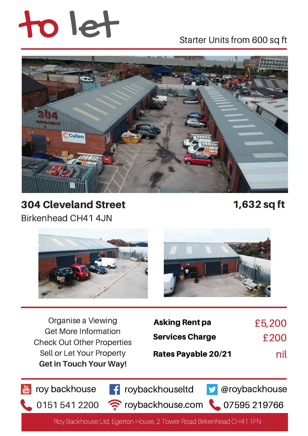# to let Starter Units from 600 sq ft



304 Cleveland Street 1,632 sq ft Birkenhead CH41 4JN





Organise a Viewing Get More Information Check Out Other Properties Sell or Let Your Property **Get in Touch Your Way!**

| <b>Asking Rent pa</b>      | £5,200 |
|----------------------------|--------|
| <b>Services Charge</b>     | £200   |
| <b>Rates Payable 20/21</b> | nil    |

roy backhouse **F** roybackhouseltd **D** @roybackhouse

 $01515412200$   $\approx$  roybackhouse.com  $\sim$  07595 219766

Roy Backhouse Ltd, Egerton House, 2 Tower Road Birkenhead CH41 1FN